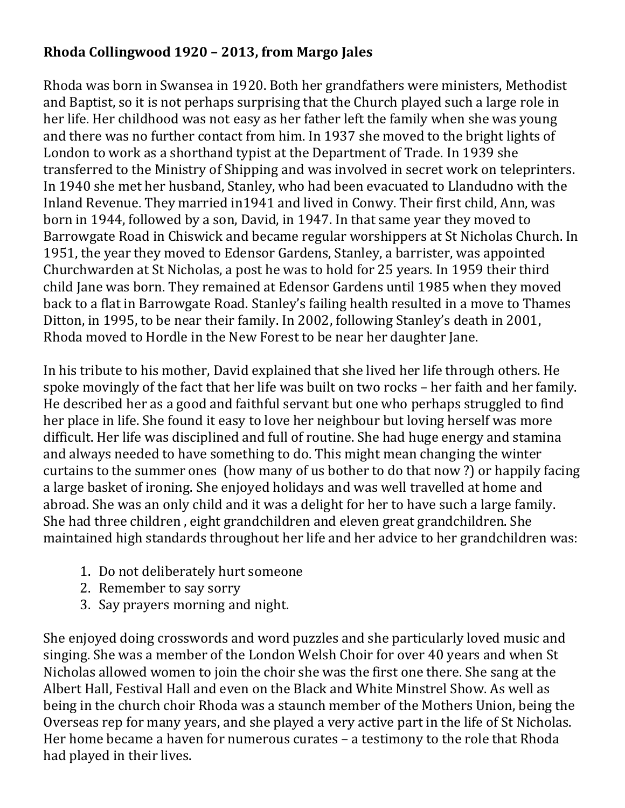## **Rhoda Collingwood 1920 – 2013, from Margo Jales**

Rhoda was born in Swansea in 1920. Both her grandfathers were ministers, Methodist and Baptist, so it is not perhaps surprising that the Church played such a large role in her life. Her childhood was not easy as her father left the family when she was young and there was no further contact from him. In 1937 she moved to the bright lights of London to work as a shorthand typist at the Department of Trade. In 1939 she transferred to the Ministry of Shipping and was involved in secret work on teleprinters. In 1940 she met her husband, Stanley, who had been evacuated to Llandudno with the Inland Revenue. They married in1941 and lived in Conwy. Their first child, Ann, was born in 1944, followed by a son, David, in 1947. In that same year they moved to Barrowgate Road in Chiswick and became regular worshippers at St Nicholas Church. In 1951, the year they moved to Edensor Gardens, Stanley, a barrister, was appointed Churchwarden at St Nicholas, a post he was to hold for 25 years. In 1959 their third child Jane was born. They remained at Edensor Gardens until 1985 when they moved back to a flat in Barrowgate Road. Stanley's failing health resulted in a move to Thames Ditton, in 1995, to be near their family. In 2002, following Stanley's death in 2001, Rhoda moved to Hordle in the New Forest to be near her daughter Jane.

In his tribute to his mother, David explained that she lived her life through others. He spoke movingly of the fact that her life was built on two rocks – her faith and her family. He described her as a good and faithful servant but one who perhaps struggled to find her place in life. She found it easy to love her neighbour but loving herself was more difficult. Her life was disciplined and full of routine. She had huge energy and stamina and always needed to have something to do. This might mean changing the winter curtains to the summer ones (how many of us bother to do that now ?) or happily facing a large basket of ironing. She enjoyed holidays and was well travelled at home and abroad. She was an only child and it was a delight for her to have such a large family. She had three children , eight grandchildren and eleven great grandchildren. She maintained high standards throughout her life and her advice to her grandchildren was:

- 1. Do not deliberately hurt someone
- 2. Remember to say sorry
- 3. Say prayers morning and night.

She enjoyed doing crosswords and word puzzles and she particularly loved music and singing. She was a member of the London Welsh Choir for over 40 years and when St Nicholas allowed women to join the choir she was the first one there. She sang at the Albert Hall, Festival Hall and even on the Black and White Minstrel Show. As well as being in the church choir Rhoda was a staunch member of the Mothers Union, being the Overseas rep for many years, and she played a very active part in the life of St Nicholas. Her home became a haven for numerous curates – a testimony to the role that Rhoda had played in their lives.